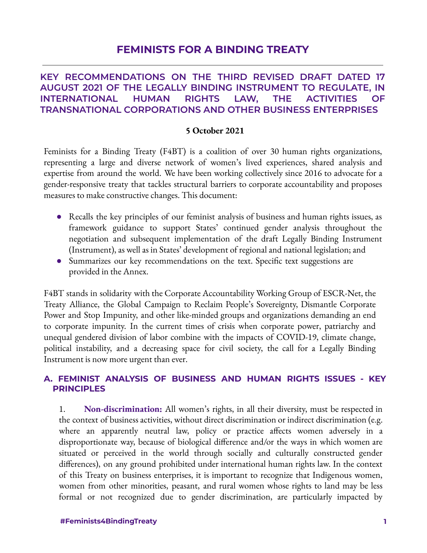# **FEMINISTS FOR A BINDING TREATY**

### **KEY RECOMMENDATIONS ON THE THIRD REVISED DRAFT DATED 17 AUGUST 2021 OF THE LEGALLY BINDING INSTRUMENT TO REGULATE, IN INTERNATIONAL HUMAN RIGHTS LAW, THE ACTIVITIES OF TRANSNATIONAL CORPORATIONS AND OTHER BUSINESS ENTERPRISES**

#### **5 October 2021**

Feminists for a Binding Treaty (F4BT) is a coalition of over 30 human rights organizations, representing a large and diverse network of women's lived experiences, shared analysis and expertise from around the world. We have been working collectively since 2016 to advocate for a gender-responsive treaty that tackles structural barriers to corporate accountability and proposes measures to make constructive changes. This document:

- Recalls the key principles of our feminist analysis of business and human rights issues, as framework guidance to support States' continued gender analysis throughout the negotiation and subsequent implementation of the draft Legally Binding Instrument (Instrument), as well as in States' development of regional and national legislation; and
- Summarizes our key recommendations on the text. Specific text suggestions are provided in the Annex.

F4BT stands in solidarity with the Corporate Accountability Working Group of ESCR-Net, the Treaty Alliance, the Global Campaign to Reclaim People's Sovereignty, Dismantle Corporate Power and Stop Impunity, and other like-minded groups and organizations demanding an end to corporate impunity. In the current times of crisis when corporate power, patriarchy and unequal gendered division of labor combine with the impacts of COVID-19, climate change, political instability, and a decreasing space for civil society, the call for a Legally Binding Instrument is now more urgent than ever.

#### **A. FEMINIST ANALYSIS OF BUSINESS AND HUMAN RIGHTS ISSUES - KEY PRINCIPLES**

1. **Non-discrimination:** All women's rights, in all their diversity, must be respected in the context of business activities, without direct discrimination or indirect discrimination (e.g. where an apparently neutral law, policy or practice affects women adversely in a disproportionate way, because of biological difference and/or the ways in which women are situated or perceived in the world through socially and culturally constructed gender differences), on any ground prohibited under international human rights law. In the context of this Treaty on business enterprises, it is important to recognize that Indigenous women, women from other minorities, peasant, and rural women whose rights to land may be less formal or not recognized due to gender discrimination, are particularly impacted by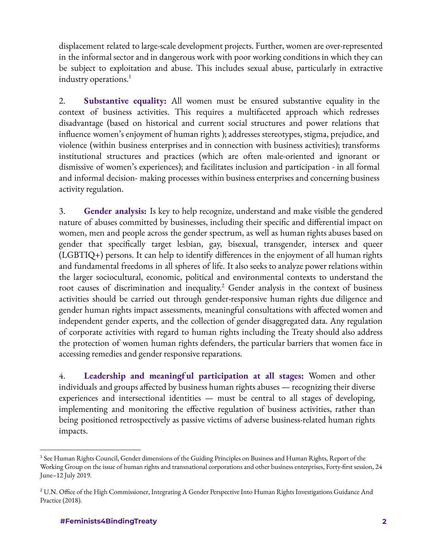displacement related to large-scale development projects. Further, women are over-represented in the informal sector and in dangerous work with poor working conditions in which they can be subject to exploitation and abuse. This includes sexual abuse, particularly in extractive industry operations. 1

2. **Substantive equality:** All women must be ensured substantive equality in the context of business activities. This requires a multifaceted approach which redresses disadvantage (based on historical and current social structures and power relations that influence women's enjoyment of human rights ); addresses stereotypes, stigma, prejudice, and violence (within business enterprises and in connection with business activities); transforms institutional structures and practices (which are often male-oriented and ignorant or dismissive of women's experiences); and facilitates inclusion and participation - in all formal and informal decision- making processes within business enterprises and concerning business activity regulation.

3. **Gender analysis:** Is key to help recognize, understand and make visible the gendered nature of abuses committed by businesses, including their specific and differential impact on women, men and people across the gender spectrum, as well as human rights abuses based on gender that specifically target lesbian, gay, bisexual, transgender, intersex and queer (LGBTIQ+) persons. It can help to identify differences in the enjoyment of all human rights and fundamental freedoms in all spheres of life. It also seeks to analyze power relations within the larger sociocultural, economic, political and environmental contexts to understand the root causes of discrimination and inequality.<sup>2</sup> Gender analysis in the context of business activities should be carried out through gender-responsive human rights due diligence and gender human rights impact assessments, meaningful consultations with affected women and independent gender experts, and the collection of gender disaggregated data. Any regulation of corporate activities with regard to human rights including the Treaty should also address the protection of women human rights defenders, the particular barriers that women face in accessing remedies and gender responsive reparations.

4. **Leadership and meaningf ul participation at all stages:** Women and other individuals and groups affected by business human rights abuses — recognizing their diverse experiences and intersectional identities — must be central to all stages of developing, implementing and monitoring the effective regulation of business activities, rather than being positioned retrospectively as passive victims of adverse business-related human rights impacts.

<sup>1</sup> See Human Rights Council, Gender dimensions of the Guiding Principles on Business and Human Rights, Report of the Working Group on the issue of human rights and transnational corporations and other business enterprises, Forty-first session, 24 June–12 July 2019.

<sup>&</sup>lt;sup>2</sup> U.N. Office of the High Commissioner, Integrating A Gender Perspective Into Human Rights Investigations Guidance And Practice (2018).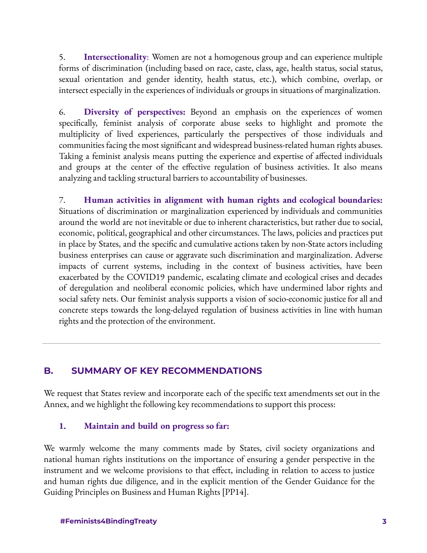5. **Intersectionality**: Women are not a homogenous group and can experience multiple forms of discrimination (including based on race, caste, class, age, health status, social status, sexual orientation and gender identity, health status, etc.), which combine, overlap, or intersect especially in the experiences of individuals or groups in situations of marginalization.

6. **Diversity of perspectives:** Beyond an emphasis on the experiences of women specifically, feminist analysis of corporate abuse seeks to highlight and promote the multiplicity of lived experiences, particularly the perspectives of those individuals and communities facing the most significant and widespread business-related human rights abuses. Taking a feminist analysis means putting the experience and expertise of affected individuals and groups at the center of the effective regulation of business activities. It also means analyzing and tackling structural barriers to accountability of businesses.

7. **Human activities in alignment with human rights and ecological boundaries:** Situations of discrimination or marginalization experienced by individuals and communities around the world are not inevitable or due to inherent characteristics, but rather due to social, economic, political, geographical and other circumstances. The laws, policies and practices put in place by States, and the specific and cumulative actions taken by non-State actors including business enterprises can cause or aggravate such discrimination and marginalization. Adverse impacts of current systems, including in the context of business activities, have been exacerbated by the COVID19 pandemic, escalating climate and ecological crises and decades of deregulation and neoliberal economic policies, which have undermined labor rights and social safety nets. Our feminist analysis supports a vision of socio-economic justice for all and concrete steps towards the long-delayed regulation of business activities in line with human rights and the protection of the environment.

### **B. SUMMARY OF KEY RECOMMENDATIONS**

We request that States review and incorporate each of the specific text amendments set out in the Annex, and we highlight the following key recommendations to support this process:

#### **1. Maintain and build on progress so far:**

We warmly welcome the many comments made by States, civil society organizations and national human rights institutions on the importance of ensuring a gender perspective in the instrument and we welcome provisions to that effect, including in relation to access to justice and human rights due diligence, and in the explicit mention of the Gender Guidance for the Guiding Principles on Business and Human Rights [PP14].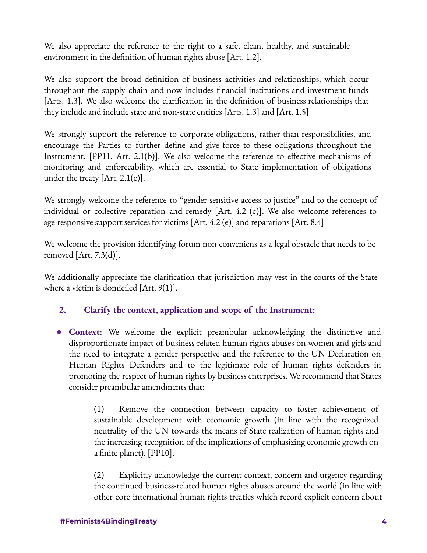We also appreciate the reference to the right to a safe, clean, healthy, and sustainable environment in the definition of human rights abuse [Art. 1.2].

We also support the broad definition of business activities and relationships, which occur throughout the supply chain and now includes financial institutions and investment funds [Arts. 1.3]. We also welcome the clarification in the definition of business relationships that they include and include state and non-state entities [Arts. 1.3] and [Art. 1.5]

We strongly support the reference to corporate obligations, rather than responsibilities, and encourage the Parties to further define and give force to these obligations throughout the Instrument. [PP11, Art. 2.1(b)]. We also welcome the reference to effective mechanisms of monitoring and enforceability, which are essential to State implementation of obligations under the treaty  $[Art. 2.1(c)].$ 

We strongly welcome the reference to "gender-sensitive access to justice" and to the concept of individual or collective reparation and remedy [Art. 4.2 (c)]. We also welcome references to age-responsive support services for victims [Art. 4.2 (e)] and reparations [Art. 8.4]

We welcome the provision identifying forum non conveniens as a legal obstacle that needs to be removed  $[Art. 7.3(d)].$ 

We additionally appreciate the clarification that jurisdiction may vest in the courts of the State where a victim is domiciled [Art. 9(1)].

## **2. Clarify the context, application and scope of the Instrument:**

● **Context**: We welcome the explicit preambular acknowledging the distinctive and disproportionate impact of business-related human rights abuses on women and girls and the need to integrate a gender perspective and the reference to the UN Declaration on Human Rights Defenders and to the legitimate role of human rights defenders in promoting the respect of human rights by business enterprises. We recommend that States consider preambular amendments that:

> (1) Remove the connection between capacity to foster achievement of sustainable development with economic growth (in line with the recognized neutrality of the UN towards the means of State realization of human rights and the increasing recognition of the implications of emphasizing economic growth on a finite planet). [PP10].

> (2) Explicitly acknowledge the current context, concern and urgency regarding the continued business-related human rights abuses around the world (in line with other core international human rights treaties which record explicit concern about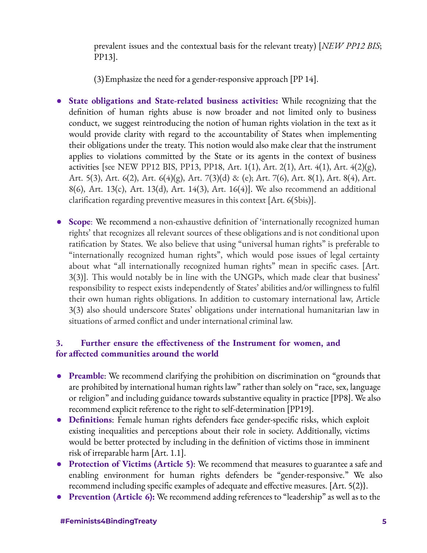prevalent issues and the contextual basis for the relevant treaty) [*NEW PP12 BIS*; PP13].

(3)Emphasize the need for a gender-responsive approach [PP 14].

- **State obligations and State-related business activities:** While recognizing that the definition of human rights abuse is now broader and not limited only to business conduct, we suggest reintroducing the notion of human rights violation in the text as it would provide clarity with regard to the accountability of States when implementing their obligations under the treaty. This notion would also make clear that the instrument applies to violations committed by the State or its agents in the context of business activities [see NEW PP12 BIS, PP13, PP18, Art.  $1(1)$ , Art.  $2(1)$ , Art.  $4(1)$ , Art.  $4(2)(g)$ , Art. 5(3), Art. 6(2), Art. 6(4)(g), Art. 7(3)(d) & (e); Art. 7(6), Art. 8(1), Art. 8(4), Art. 8(6), Art. 13(c), Art. 13(d), Art. 14(3), Art. 16(4)]. We also recommend an additional clarification regarding preventive measures in this context [Art. 6(5bis)].
- **Scope**: We recommend a non-exhaustive definition of 'internationally recognized human rights' that recognizes all relevant sources of these obligations and is not conditional upon ratification by States. We also believe that using "universal human rights" is preferable to "internationally recognized human rights", which would pose issues of legal certainty about what "all internationally recognized human rights" mean in specific cases. [Art. 3(3)]. This would notably be in line with the UNGPs, which made clear that business' responsibility to respect exists independently of States' abilities and/or willingness to fulfil their own human rights obligations. In addition to customary international law, Article 3(3) also should underscore States' obligations under international humanitarian law in situations of armed conflict and under international criminal law.

### **3. Further ensure the effectiveness of the Instrument for women, and for affected communities around the world**

- **Preamble**: We recommend clarifying the prohibition on discrimination on "grounds that are prohibited by international human rights law" rather than solely on "race, sex, language or religion" and including guidance towards substantive equality in practice [PP8]. We also recommend explicit reference to the right to self-determination [PP19].
- **Definitions**: Female human rights defenders face gender-specific risks, which exploit existing inequalities and perceptions about their role in society. Additionally, victims would be better protected by including in the definition of victims those in imminent risk of irreparable harm [Art. 1.1].
- **Protection of Victims (Article 5)**: We recommend that measures to guarantee a safe and enabling environment for human rights defenders be "gender-responsive." We also recommend including specific examples of adequate and effective measures. [Art. 5(2)}.
- **Prevention (Article 6):** We recommend adding references to "leadership" as well as to the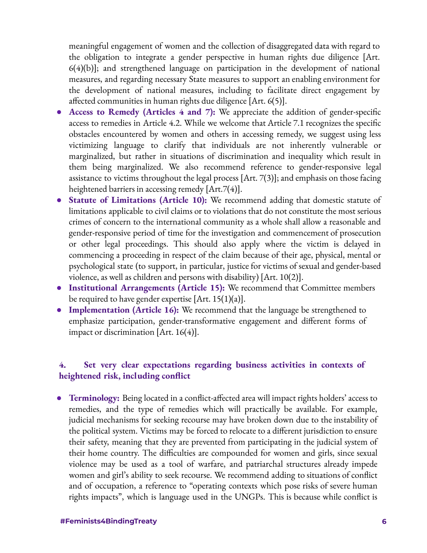meaningful engagement of women and the collection of disaggregated data with regard to the obligation to integrate a gender perspective in human rights due diligence [Art. 6(4)(b)]; and strengthened language on participation in the development of national measures, and regarding necessary State measures to support an enabling environment for the development of national measures, including to facilitate direct engagement by affected communities in human rights due diligence [Art. 6(5)].

- **Access to Remedy (Articles 4 and 7):** We appreciate the addition of gender-specific access to remedies in Article 4.2. While we welcome that Article 7.1 recognizes the specific obstacles encountered by women and others in accessing remedy, we suggest using less victimizing language to clarify that individuals are not inherently vulnerable or marginalized, but rather in situations of discrimination and inequality which result in them being marginalized. We also recommend reference to gender-responsive legal assistance to victims throughout the legal process [Art. 7(3)]; and emphasis on those facing heightened barriers in accessing remedy [Art.7(4)].
- **Statute of Limitations (Article 10):** We recommend adding that domestic statute of limitations applicable to civil claims or to violations that do not constitute the most serious crimes of concern to the international community as a whole shall allow a reasonable and gender-responsive period of time for the investigation and commencement of prosecution or other legal proceedings. This should also apply where the victim is delayed in commencing a proceeding in respect of the claim because of their age, physical, mental or psychological state (to support, in particular, justice for victims of sexual and gender-based violence, as well as children and persons with disability) [Art. 10(2)].
- **Institutional Arrangements (Article 15):** We recommend that Committee members be required to have gender expertise  $[Art. 15(1)(a)].$
- **Implementation (Article 16):** We recommend that the language be strengthened to emphasize participation, gender-transformative engagement and different forms of impact or discrimination [Art.  $16(4)$ ].

### **4. Set very clear expectations regarding business activities in contexts of heightened risk, including conflict**

● **Terminology:** Being located in a conflict-affected area will impact rights holders' access to remedies, and the type of remedies which will practically be available. For example, judicial mechanisms for seeking recourse may have broken down due to the instability of the political system. Victims may be forced to relocate to a different jurisdiction to ensure their safety, meaning that they are prevented from participating in the judicial system of their home country. The difficulties are compounded for women and girls, since sexual violence may be used as a tool of warfare, and patriarchal structures already impede women and girl's ability to seek recourse. We recommend adding to situations of conflict and of occupation, a reference to "operating contexts which pose risks of severe human rights impacts", which is language used in the UNGPs. This is because while conflict is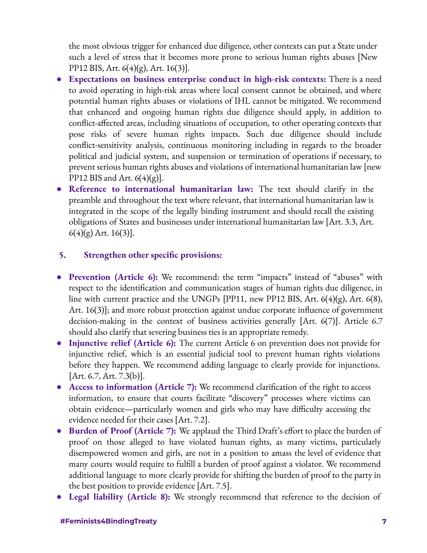the most obvious trigger for enhanced due diligence, other contexts can put a State under such a level of stress that it becomes more prone to serious human rights abuses [New PP12 BIS, Art. 6(4)(g), Art. 16(3)].

- **Expectations on business enterprise conduct in high-risk contexts:** There is a need to avoid operating in high-risk areas where local consent cannot be obtained, and where potential human rights abuses or violations of IHL cannot be mitigated. We recommend that enhanced and ongoing human rights due diligence should apply, in addition to conflict-affected areas, including situations of occupation, to other operating contexts that pose risks of severe human rights impacts. Such due diligence should include conflict-sensitivity analysis, continuous monitoring including in regards to the broader political and judicial system, and suspension or termination of operations if necessary, to prevent serious human rights abuses and violations of international humanitarian law [new PP12 BIS and Art.  $6(4)(g)$ ].
- **Reference to international humanitarian law:** The text should clarify in the preamble and throughout the text where relevant, that international humanitarian law is integrated in the scope of the legally binding instrument and should recall the existing obligations of States and businesses under international humanitarian law [Art. 3.3, Art.  $6(4)(g)$  Art. 16(3)].

#### **5. Strengthen other specific provisions:**

- **Prevention (Article 6):** We recommend: the term "impacts" instead of "abuses" with respect to the identification and communication stages of human rights due diligence, in line with current practice and the UNGPs [PP11, new PP12 BIS, Art. 6(4)(g), Art. 6(8), Art. 16(3)]; and more robust protection against undue corporate influence of government decision-making in the context of business activities generally [Art. 6(7)]. Article 6.7 should also clarify that severing business ties is an appropriate remedy.
- **Injunctive relief (Article 6):** The current Article 6 on prevention does not provide for injunctive relief, which is an essential judicial tool to prevent human rights violations before they happen. We recommend adding language to clearly provide for injunctions. [Art. 6.7, Art. 7.3(b)].
- **Access to information (Article 7):** We recommend clarification of the right to access information, to ensure that courts facilitate "discovery" processes where victims can obtain evidence—particularly women and girls who may have difficulty accessing the evidence needed for their cases [Art. 7.2].
- **Burden of Proof (Article 7):** We applaud the Third Draft's effort to place the burden of proof on those alleged to have violated human rights, as many victims, particularly disempowered women and girls, are not in a position to amass the level of evidence that many courts would require to fulfill a burden of proof against a violator. We recommend additional language to more clearly provide for shifting the burden of proof to the party in the best position to provide evidence [Art. 7.5].
- **Legal liability (Article 8):** We strongly recommend that reference to the decision of